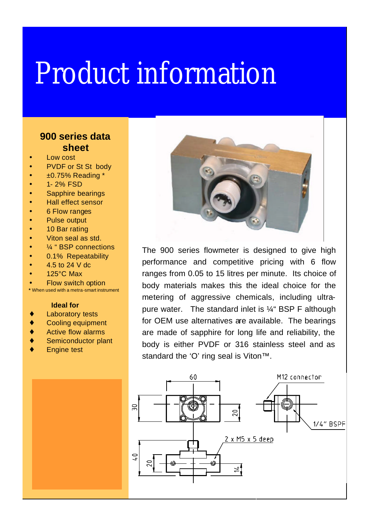## Product information

## **900 series data sheet**

- Low cost
- PVDF or St St body
- ±0.75% Reading \*
- 1- 2% FSD
- Sapphire bearings
- Hall effect sensor
- 6 Flow ranges
- Pulse output
- 10 Bar rating
- Viton seal as std.
- 1/<sub>4</sub> " BSP connections
- 0.1% Repeatability
- 4.5 to 24 V dc
- 125°C Max
- Flow switch option
- **\*** When used with a metra-smart instrument

## **Ideal for**

- ♦ Laboratory tests
- ♦ Cooling equipment
- Active flow alarms
- Semiconductor plant
- **Engine test**



The 900 series flowmeter is designed to give high performance and competitive pricing with 6 flow ranges from 0.05 to 15 litres per minute. Its choice of body materials makes this the ideal choice for the metering of aggressive chemicals, including ultrapure water. The standard inlet is ¼" BSP F although for OEM use alternatives are available. The bearings are made of sapphire for long life and reliability, the body is either PVDF or 316 stainless steel and as standard the 'O' ring seal is Viton™.